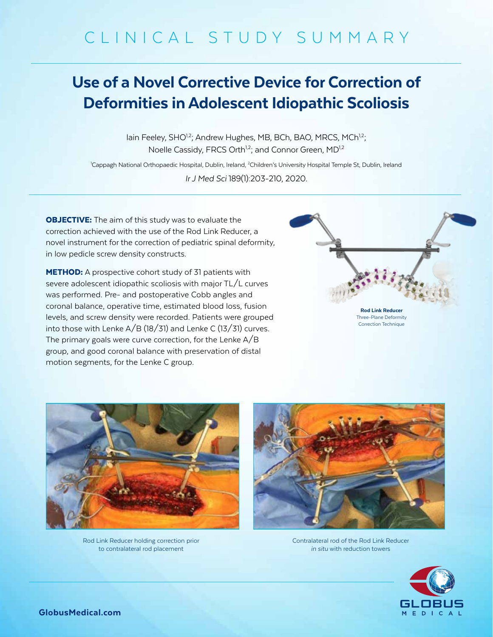# CLINICAL STUDY SUMMARY

## Use of a Novel Corrective Device for Correction of Deformities in Adolescent Idiopathic Scoliosis

lain Feeley, SHO<sup>1,2</sup>; Andrew Hughes, MB, BCh, BAO, MRCS, MCh<sup>1,2</sup>; Noelle Cassidy, FRCS Orth<sup>1,2</sup>; and Connor Green, MD<sup>1,2</sup>

<sup>1</sup>Cappagh National Orthopaedic Hospital, Dublin, Ireland, <sup>2</sup>Children's University Hospital Temple St, Dublin, Ireland

*Ir J Med Sci* 189(1):203-210, 2020.

**OBJECTIVE:** The aim of this study was to evaluate the correction achieved with the use of the Rod Link Reducer, a novel instrument for the correction of pediatric spinal deformity, in low pedicle screw density constructs.

**METHOD:** A prospective cohort study of 31 patients with severe adolescent idiopathic scoliosis with major TL/L curves was performed. Pre- and postoperative Cobb angles and coronal balance, operative time, estimated blood loss, fusion levels, and screw density were recorded. Patients were grouped into those with Lenke  $A/B$  (18/31) and Lenke C (13/31) curves. The primary goals were curve correction, for the Lenke A/B group, and good coronal balance with preservation of distal motion segments, for the Lenke C group.



Three-Plane Deformity Correction Technique



Rod Link Reducer holding correction prior to contralateral rod placement



Contralateral rod of the Rod Link Reducer *in situ* with reduction towers